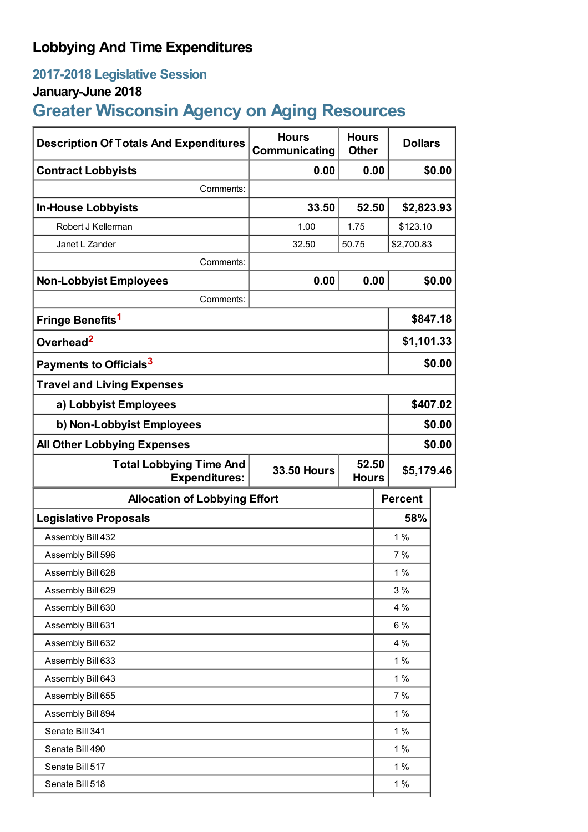## **Lobbying And Time Expenditures**

## **2017-2018 Legislative Session**

## **January-June 2018**

# **Greater Wisconsin Agency on Aging Resources**

| <b>Description Of Totals And Expenditures</b>          | <b>Hours</b><br>Communicating | <b>Hours</b><br><b>Other</b> | <b>Dollars</b> |          |
|--------------------------------------------------------|-------------------------------|------------------------------|----------------|----------|
| <b>Contract Lobbyists</b>                              | 0.00                          | 0.00                         |                | \$0.00   |
| Comments:                                              |                               |                              |                |          |
| <b>In-House Lobbyists</b>                              | 33.50                         | 52.50                        | \$2,823.93     |          |
| Robert J Kellerman                                     | 1.00                          | 1.75                         | \$123.10       |          |
| Janet L Zander                                         | 32.50                         | 50.75                        | \$2,700.83     |          |
| Comments:                                              |                               |                              |                |          |
| <b>Non-Lobbyist Employees</b>                          | 0.00                          | 0.00                         |                | \$0.00   |
| Comments:                                              |                               |                              |                |          |
| Fringe Benefits <sup>1</sup>                           |                               |                              |                | \$847.18 |
| Overhead <sup>2</sup>                                  |                               |                              | \$1,101.33     |          |
| Payments to Officials <sup>3</sup>                     |                               |                              |                | \$0.00   |
| <b>Travel and Living Expenses</b>                      |                               |                              |                |          |
| a) Lobbyist Employees                                  |                               |                              |                | \$407.02 |
| b) Non-Lobbyist Employees                              |                               |                              | \$0.00         |          |
| <b>All Other Lobbying Expenses</b>                     |                               |                              | \$0.00         |          |
| <b>Total Lobbying Time And</b><br><b>Expenditures:</b> | <b>33.50 Hours</b>            | 52.50<br><b>Hours</b>        | \$5,179.46     |          |
| <b>Allocation of Lobbying Effort</b>                   |                               |                              | <b>Percent</b> |          |
| <b>Legislative Proposals</b>                           |                               |                              | 58%            |          |
| Assembly Bill 432                                      |                               |                              | 1%             |          |
| Assembly Bill 596                                      |                               |                              | 7%             |          |
| Assembly Bill 628                                      |                               |                              | $1\%$          |          |
| Assembly Bill 629                                      |                               |                              | 3%             |          |
| Assembly Bill 630                                      |                               |                              |                |          |
|                                                        |                               |                              | 4 %            |          |
| Assembly Bill 631                                      |                               |                              | $6\%$          |          |
| Assembly Bill 632                                      |                               |                              | 4 %            |          |
| Assembly Bill 633                                      |                               |                              | 1%             |          |
| Assembly Bill 643                                      |                               |                              | 1%             |          |
| Assembly Bill 655                                      |                               |                              | 7 %            |          |
| Assembly Bill 894                                      |                               |                              | 1%             |          |
| Senate Bill 341                                        |                               |                              | 1%             |          |
| Senate Bill 490                                        |                               |                              | 1%             |          |
| Senate Bill 517<br>Senate Bill 518                     |                               |                              | 1%<br>1%       |          |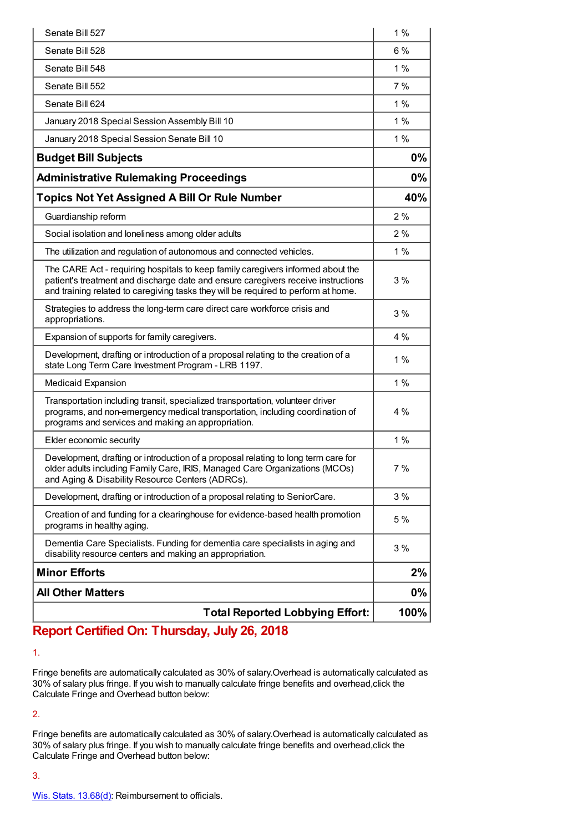| Senate Bill 527                                                                                                                                                                                                                                            | 1%   |
|------------------------------------------------------------------------------------------------------------------------------------------------------------------------------------------------------------------------------------------------------------|------|
| Senate Bill 528                                                                                                                                                                                                                                            | 6%   |
| Senate Bill 548                                                                                                                                                                                                                                            | 1%   |
| Senate Bill 552                                                                                                                                                                                                                                            | 7%   |
| Senate Bill 624                                                                                                                                                                                                                                            | 1%   |
| January 2018 Special Session Assembly Bill 10                                                                                                                                                                                                              | 1%   |
| January 2018 Special Session Senate Bill 10                                                                                                                                                                                                                | 1%   |
| <b>Budget Bill Subjects</b>                                                                                                                                                                                                                                | 0%   |
| <b>Administrative Rulemaking Proceedings</b>                                                                                                                                                                                                               | 0%   |
| <b>Topics Not Yet Assigned A Bill Or Rule Number</b>                                                                                                                                                                                                       | 40%  |
| Guardianship reform                                                                                                                                                                                                                                        | 2%   |
| Social isolation and loneliness among older adults                                                                                                                                                                                                         | 2%   |
| The utilization and regulation of autonomous and connected vehicles.                                                                                                                                                                                       | 1%   |
| The CARE Act - requiring hospitals to keep family caregivers informed about the<br>patient's treatment and discharge date and ensure caregivers receive instructions<br>and training related to caregiving tasks they will be required to perform at home. | 3%   |
| Strategies to address the long-term care direct care workforce crisis and<br>appropriations.                                                                                                                                                               | 3%   |
| Expansion of supports for family caregivers.                                                                                                                                                                                                               | 4 %  |
| Development, drafting or introduction of a proposal relating to the creation of a<br>state Long Term Care Investment Program - LRB 1197.                                                                                                                   | 1%   |
| <b>Medicaid Expansion</b>                                                                                                                                                                                                                                  | 1%   |
| Transportation including transit, specialized transportation, volunteer driver<br>programs, and non-emergency medical transportation, including coordination of<br>programs and services and making an appropriation.                                      | 4%   |
| Elder economic security                                                                                                                                                                                                                                    | 1%   |
| Development, drafting or introduction of a proposal relating to long term care for<br>older adults including Family Care, IRIS, Managed Care Organizations (MCOs)<br>and Aging & Disability Resource Centers (ADRCs).                                      | 7 %  |
| Development, drafting or introduction of a proposal relating to SeniorCare.                                                                                                                                                                                | 3%   |
| Creation of and funding for a clearinghouse for evidence-based health promotion<br>programs in healthy aging.                                                                                                                                              | 5 %  |
| Dementia Care Specialists. Funding for dementia care specialists in aging and<br>disability resource centers and making an appropriation.                                                                                                                  | 3%   |
| <b>Minor Efforts</b>                                                                                                                                                                                                                                       | 2%   |
| <b>All Other Matters</b>                                                                                                                                                                                                                                   | 0%   |
| <b>Total Reported Lobbying Effort:</b>                                                                                                                                                                                                                     | 100% |

### **Report Certified On: Thursday, July 26, 2018**

1.

Fringe benefits are automatically calculated as 30% of salary.Overhead is automatically calculated as 30% of salary plus fringe. If you wish to manually calculate fringe benefits and overhead,click the Calculate Fringe and Overhead button below:

2.

Fringe benefits are automatically calculated as 30% of salary.Overhead is automatically calculated as 30% of salary plus fringe. If you wish to manually calculate fringe benefits and overhead,click the Calculate Fringe and Overhead button below:

3.

Wis. Stats. [13.68\(d\)](https://docs.legis.wisconsin.gov/statutes/statutes/13/III/68/1/d?view=section): Reimbursement to officials.